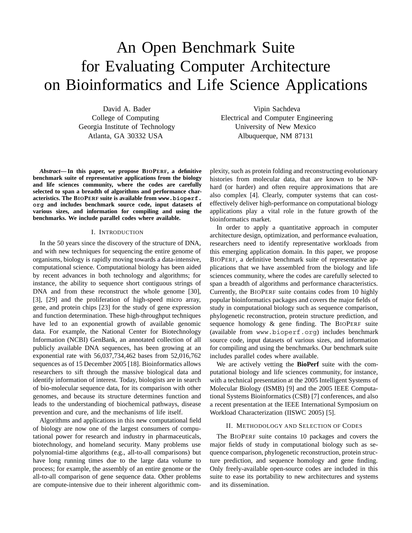# An Open Benchmark Suite for Evaluating Computer Architecture on Bioinformatics and Life Science Applications

David A. Bader College of Computing Georgia Institute of Technology Atlanta, GA 30332 USA

*Abstract***— In this paper, we propose BIOPERF, a definitive benchmark suite of representative applications from the biology and life sciences community, where the codes are carefully selected to span a breadth of algorithms and performance characteristics. The BIOPERF suite is available from www.bioperf. org and includes benchmark source code, input datasets of various sizes, and information for compiling and using the benchmarks. We include parallel codes where available.**

#### I. INTRODUCTION

In the 50 years since the discovery of the structure of DNA, and with new techniques for sequencing the entire genome of organisms, biology is rapidly moving towards a data-intensive, computational science. Computational biology has been aided by recent advances in both technology and algorithms; for instance, the ability to sequence short contiguous strings of DNA and from these reconstruct the whole genome [30], [3], [29] and the proliferation of high-speed micro array, gene, and protein chips [23] for the study of gene expression and function determination. These high-throughput techniques have led to an exponential growth of available genomic data. For example, the National Center for Biotechnology Information (NCBI) GenBank, an annotated collection of all publicly available DNA sequences, has been growing at an exponential rate with 56,037,734,462 bases from 52,016,762 sequences as of 15 December 2005 [18]. Bioinformatics allows researchers to sift through the massive biological data and identify information of interest. Today, biologists are in search of bio-molecular sequence data, for its comparison with other genomes, and because its structure determines function and leads to the understanding of biochemical pathways, disease prevention and cure, and the mechanisms of life itself.

Algorithms and applications in this new computational field of biology are now one of the largest consumers of computational power for research and industry in pharmaceuticals, biotechnology, and homeland security. Many problems use polynomial-time algorithms (e.g., all-to-all comparisons) but have long running times due to the large data volume to process; for example, the assembly of an entire genome or the all-to-all comparison of gene sequence data. Other problems are compute-intensive due to their inherent algorithmic com-

Vipin Sachdeva Electrical and Computer Engineering University of New Mexico Albuquerque, NM 87131

plexity, such as protein folding and reconstructing evolutionary histories from molecular data, that are known to be NPhard (or harder) and often require approximations that are also complex [4]. Clearly, computer systems that can costeffectively deliver high-performance on computational biology applications play a vital role in the future growth of the bioinformatics market.

In order to apply a quantitative approach in computer architecture design, optimization, and performance evaluation, researchers need to identify representative workloads from this emerging application domain. In this paper, we propose BIOPERF, a definitive benchmark suite of representative applications that we have assembled from the biology and life sciences community, where the codes are carefully selected to span a breadth of algorithms and performance characteristics. Currently, the BIOPERF suite contains codes from 10 highly popular bioinformatics packages and covers the major fields of study in computational biology such as sequence comparison, phylogenetic reconstruction, protein structure prediction, and sequence homology & gene finding. The BIOPERF suite (available from www.bioperf.org) includes benchmark source code, input datasets of various sizes, and information for compiling and using the benchmarks. Our benchmark suite includes parallel codes where available.

We are actively vetting the **BioPerf** suite with the computational biology and life sciences community, for instance, with a technical presentation at the 2005 Intelligent Systems of Molecular Biology (ISMB) [9] and the 2005 IEEE Computational Systems Bioinformatics (CSB) [7] conferences, and also a recent presentation at the IEEE International Symposium on Workload Characterization (IISWC 2005) [5].

#### II. METHODOLOGY AND SELECTION OF CODES

The BIOPERF suite contains 10 packages and covers the major fields of study in computational biology such as sequence comparison, phylogenetic reconstruction, protein structure prediction, and sequence homology and gene finding. Only freely-available open-source codes are included in this suite to ease its portability to new architectures and systems and its dissemination.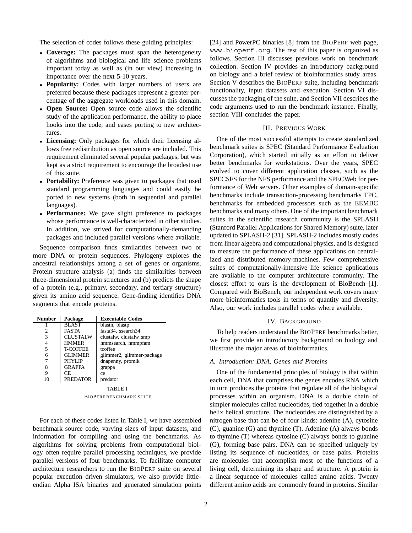The selection of codes follows these guiding principles:

- *•* **Coverage:** The packages must span the heterogeneity of algorithms and biological and life science problems important today as well as (in our view) increasing in importance over the next 5-10 years.
- *•* **Popularity:** Codes with larger numbers of users are preferred because these packages represent a greater percentage of the aggregate workloads used in this domain.
- *•* **Open Source:** Open source code allows the scientific study of the application performance, the ability to place hooks into the code, and eases porting to new architectures.
- *•* **Licensing:** Only packages for which their licensing allows free redistribution as open source are included. This requirement eliminated several popular packages, but was kept as a strict requirement to encourage the broadest use of this suite.
- *•* **Portability:** Preference was given to packages that used standard programming languages and could easily be ported to new systems (both in sequential and parallel languages).
- *•* **Performance:** We gave slight preference to packages whose performance is well-characterized in other studies. In addition, we strived for computationally-demanding packages and included parallel versions where available.

Sequence comparison finds similarities between two or more DNA or protein sequences. Phylogeny explores the ancestral relationships among a set of genes or organisms. Protein structure analysis (a) finds the similarities between three-dimensional protein structures and (b) predicts the shape of a protein (e.g., primary, secondary, and tertiary structure) given its amino acid sequence. Gene-finding identifies DNA segments that encode proteins.

| <b>Number</b> | Package         | <b>Executable Codes</b>   |
|---------------|-----------------|---------------------------|
|               | <b>BLAST</b>    | blastn, blastp            |
|               | <b>FASTA</b>    | fasta34, ssearch34        |
| 3             | <b>CLUSTALW</b> | clustalw, clustalw_smp    |
| 4             | <b>HMMER</b>    | hmmsearch, hmmpfam        |
| 5             | <b>T-COFFEE</b> | tcoffee                   |
| 6             | <b>GLIMMER</b>  | glimmer2, glimmer-package |
|               | <b>PHYLIP</b>   | dnapenny, promlk          |
| 8             | <b>GRAPPA</b>   | grappa                    |
| 9             | CЕ              | ce                        |
| 10            | <b>PREDATOR</b> | predator                  |
|               |                 | TABLE I                   |

BIOPERF BENCHMARK SUITE

For each of these codes listed in Table I, we have assembled benchmark source code, varying sizes of input datasets, and information for compiling and using the benchmarks. As algorithms for solving problems from computational biology often require parallel processing techniques, we provide parallel versions of four benchmarks. To facilitate computer architecture researchers to run the BIOPERF suite on several popular execution driven simulators, we also provide littleendian Alpha ISA binaries and generated simulation points [24] and PowerPC binaries [8] from the BIOPERF web page, www.bioperf.org. The rest of this paper is organized as follows. Section III discusses previous work on benchmark collection. Section IV provides an introductory background on biology and a brief review of bioinformatics study areas. Section V describes the BIOPERF suite, including benchmark functionality, input datasets and execution. Section VI discusses the packaging of the suite, and Section VII describes the code arguments used to run the benchmark instance. Finally, section VIII concludes the paper.

#### III. PREVIOUS WORK

One of the most successful attempts to create standardized benchmark suites is SPEC (Standard Performance Evaluation Corporation), which started initially as an effort to deliver better benchmarks for workstations. Over the years, SPEC evolved to cover different application classes, such as the SPECSFS for the NFS performance and the SPECWeb for performance of Web servers. Other examples of domain-specific benchmarks include transaction-processing benchmarks TPC, benchmarks for embedded processors such as the EEMBC benchmarks and many others. One of the important benchmark suites in the scientific research community is the SPLASH (Stanford Parallel Applications for Shared Memory) suite, later updated to SPLASH-2 [31]. SPLASH-2 includes mostly codes from linear algebra and computational physics, and is designed to measure the performance of these applications on centralized and distributed memory-machines. Few comprehensive suites of computationally-intensive life science applications are available to the computer architecture community. The closest effort to ours is the development of BioBench [1]. Compared with BioBench, our independent work covers many more bioinformatics tools in terms of quantity and diversity. Also, our work includes parallel codes where available.

#### IV. BACKGROUND

To help readers understand the BIOPERF benchmarks better, we first provide an introductory background on biology and illustrate the major areas of bioinformatics.

### *A. Introduction: DNA, Genes and Proteins*

One of the fundamental principles of biology is that within each cell, DNA that comprises the genes encodes RNA which in turn produces the proteins that regulate all of the biological processes within an organism. DNA is a double chain of simpler molecules called nucleotides, tied together in a double helix helical structure. The nucleotides are distinguished by a nitrogen base that can be of four kinds: adenine (A), cytosine (C), guanine (G) and thymine (T). Adenine (A) always bonds to thymine (T) whereas cytosine (C) always bonds to guanine (G), forming base pairs. DNA can be specified uniquely by listing its sequence of nucleotides, or base pairs. Proteins are molecules that accomplish most of the functions of a living cell, determining its shape and structure. A protein is a linear sequence of molecules called amino acids. Twenty different amino acids are commonly found in proteins. Similar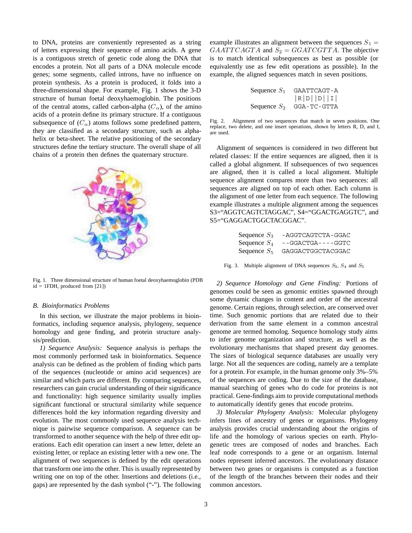to DNA, proteins are conveniently represented as a string of letters expressing their sequence of amino acids. A gene is a contiguous stretch of genetic code along the DNA that encodes a protein. Not all parts of a DNA molecule encode genes; some segments, called introns, have no influence on protein synthesis. As a protein is produced, it folds into a three-dimensional shape. For example, Fig. 1 shows the 3-D structure of human foetal deoxyhaemoglobin. The positions of the central atoms, called carbon-alpha  $(C_{\alpha})$ , of the amino acids of a protein define its primary structure. If a contiguous subsequence of  $(C_{\alpha})$  atoms follows some predefined pattern, they are classified as a secondary structure, such as alphahelix or beta-sheet. The relative positioning of the secondary structures define the tertiary structure. The overall shape of all chains of a protein then defines the quaternary structure.



Fig. 1. Three dimensional structure of human foetal deoxyhaemoglobin (PDB  $id = 1FDH$ , produced from [21])

#### *B. Bioinformatics Problems*

In this section, we illustrate the major problems in bioinformatics, including sequence analysis, phylogeny, sequence homology and gene finding, and protein structure analysis/prediction.

*1) Sequence Analysis:* Sequence analysis is perhaps the most commonly performed task in bioinformatics. Sequence analysis can be defined as the problem of finding which parts of the sequences (nucleotide or amino acid sequences) are similar and which parts are different. By comparing sequences, researchers can gain crucial understanding of their significance and functionality: high sequence similarity usually implies significant functional or structural similarity while sequence differences hold the key information regarding diversity and evolution. The most commonly used sequence analysis technique is pairwise sequence comparison. A sequence can be transformed to another sequence with the help of three edit operations. Each edit operation can insert a new letter, delete an existing letter, or replace an existing letter with a new one. The alignment of two sequences is defined by the edit operations that transform one into the other. This is usually represented by writing one on top of the other. Insertions and deletions (i.e., gaps) are represented by the dash symbol ("-"). The following

example illustrates an alignment between the sequences  $S_1 =$  $GAATT CAGTA$  and  $S_2 = GGATCGTTA$ . The objective is to match identical subsequences as best as possible (or equivalently use as few edit operations as possible). In the example, the aligned sequences match in seven positions.

| Sequence $S_1$ | GAATTCAGT-A |  |  |
|----------------|-------------|--|--|
|                | R D   D   I |  |  |
| Sequence $S_2$ | GGA-TC-GTTA |  |  |

Fig. 2. Alignment of two sequences that match in seven positions. One replace, two delete, and one insert operations, shown by letters R, D, and I, are used.

Alignment of sequences is considered in two different but related classes: If the entire sequences are aligned, then it is called a global alignment. If subsequences of two sequences are aligned, then it is called a local alignment. Multiple sequence alignment compares more than two sequences: all sequences are aligned on top of each other. Each column is the alignment of one letter from each sequence. The following example illustrates a multiple alignment among the sequences S3="AGGTCAGTCTAGGAC", S4="GGACTGAGGTC", and S5="GAGGACTGGCTACGGAC".

| Sequence $S_3$ | -AGGTCAGTCTA-GGAC    |
|----------------|----------------------|
| Sequence $S_4$ | $-$ -GGACTGA----GGTC |
| Sequence $S_5$ | GAGGACTGGCTACGGAC    |

Fig. 3. Multiple alignment of DNA sequences *S*3, *S*<sup>4</sup> and *S*<sup>5</sup>

*2) Sequence Homology and Gene Finding:* Portions of genomes could be seen as genomic entities spawned through some dynamic changes in content and order of the ancestral genome. Certain regions, through selection, are conserved over time. Such genomic portions that are related due to their derivation from the same element in a common ancestral genome are termed homolog. Sequence homology study aims to infer genome organization and structure, as well as the evolutionary mechanisms that shaped present day genomes. The sizes of biological sequence databases are usually very large. Not all the sequences are coding, namely are a template for a protein. For example, in the human genome only 3%–5% of the sequences are coding. Due to the size of the database, manual searching of genes who do code for proteins is not practical. Gene-findings aim to provide computational methods to automatically identify genes that encode proteins.

*3) Molecular Phylogeny Analysis:* Molecular phylogeny infers lines of ancestry of genes or organisms. Phylogeny analysis provides crucial understanding about the origins of life and the homology of various species on earth. Phylogenetic trees are composed of nodes and branches. Each leaf node corresponds to a gene or an organism. Internal nodes represent inferred ancestors. The evolutionary distance between two genes or organisms is computed as a function of the length of the branches between their nodes and their common ancestors.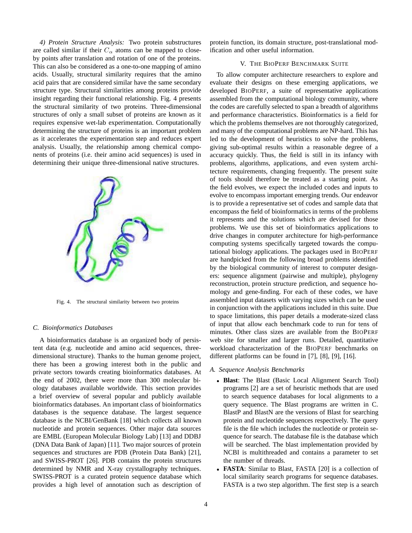*4) Protein Structure Analysis:* Two protein substructures are called similar if their  $C_{\alpha}$  atoms can be mapped to closeby points after translation and rotation of one of the proteins. This can also be considered as a one-to-one mapping of amino acids. Usually, structural similarity requires that the amino acid pairs that are considered similar have the same secondary structure type. Structural similarities among proteins provide insight regarding their functional relationship. Fig. 4 presents the structural similarity of two proteins. Three-dimensional structures of only a small subset of proteins are known as it requires expensive wet-lab experimentation. Computationally determining the structure of proteins is an important problem as it accelerates the experimentation step and reduces expert analysis. Usually, the relationship among chemical components of proteins (i.e. their amino acid sequences) is used in determining their unique three-dimensional native structures.



Fig. 4. The structural similarity between two proteins

#### *C. Bioinformatics Databases*

A bioinformatics database is an organized body of persistent data (e.g. nucleotide and amino acid sequences, threedimensional structure). Thanks to the human genome project, there has been a growing interest both in the public and private sectors towards creating bioinformatics databases. At the end of 2002, there were more than 300 molecular biology databases available worldwide. This section provides a brief overview of several popular and publicly available bioinformatics databases. An important class of bioinformatics databases is the sequence database. The largest sequence database is the NCBI/GenBank [18] which collects all known nucleotide and protein sequences. Other major data sources are EMBL (European Molecular Biology Lab) [13] and DDBJ (DNA Data Bank of Japan) [11]. Two major sources of protein sequences and structures are PDB (Protein Data Bank) [21], and SWISS-PROT [26]. PDB contains the protein structures determined by NMR and X-ray crystallography techniques. SWISS-PROT is a curated protein sequence database which provides a high level of annotation such as description of

protein function, its domain structure, post-translational modification and other useful information.

#### V. THE BIOPERF BENCHMARK SUITE

To allow computer architecture researchers to explore and evaluate their designs on these emerging applications, we developed BIOPERF, a suite of representative applications assembled from the computational biology community, where the codes are carefully selected to span a breadth of algorithms and performance characteristics. Bioinformatics is a field for which the problems themselves are not thoroughly categorized, and many of the computational problems are NP-hard. This has led to the development of heuristics to solve the problems, giving sub-optimal results within a reasonable degree of a accuracy quickly. Thus, the field is still in its infancy with problems, algorithms, applications, and even system architecture requirements, changing frequently. The present suite of tools should therefore be treated as a starting point. As the field evolves, we expect the included codes and inputs to evolve to encompass important emerging trends. Our endeavor is to provide a representative set of codes and sample data that encompass the field of bioinformatics in terms of the problems it represents and the solutions which are devised for those problems. We use this set of bioinformatics applications to drive changes in computer architecture for high-performance computing systems specifically targeted towards the computational biology applications. The packages used in BIOPERF are handpicked from the following broad problems identified by the biological community of interest to computer designers: sequence alignment (pairwise and multiple), phylogeny reconstruction, protein structure prediction, and sequence homology and gene-finding. For each of these codes, we have assembled input datasets with varying sizes which can be used in conjunction with the applications included in this suite. Due to space limitations, this paper details a moderate-sized class of input that allow each benchmark code to run for tens of minutes. Other class sizes are available from the BIOPERF web site for smaller and larger runs. Detailed, quantitative workload characterization of the BIOPERF benchmarks on different platforms can be found in [7], [8], [9], [16].

#### *A. Sequence Analysis Benchmarks*

- *•* **Blast**: The Blast (Basic Local Alignment Search Tool) programs [2] are a set of heuristic methods that are used to search sequence databases for local alignments to a query sequence. The Blast programs are written in C. BlastP and BlastN are the versions of Blast for searching protein and nucleotide sequences respectively. The query file is the file which includes the nucleotide or protein sequence for search. The database file is the database which will be searched. The blast implementation provided by NCBI is multithreaded and contains a parameter to set the number of threads.
- **FASTA**: Similar to Blast, FASTA [20] is a collection of local similarity search programs for sequence databases. FASTA is a two step algorithm. The first step is a search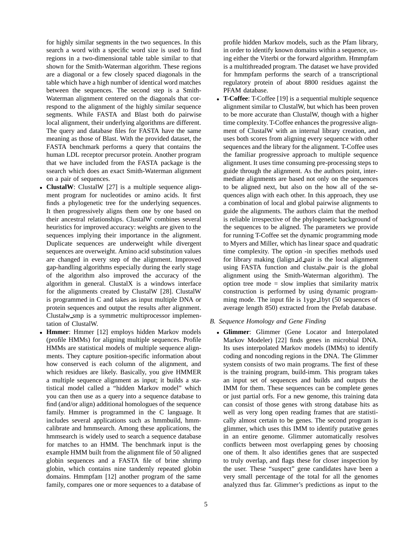for highly similar segments in the two sequences. In this search a word with a specific word size is used to find regions in a two-dimensional table table similar to that shown for the Smith-Waterman algorithm. These regions are a diagonal or a few closely spaced diagonals in the table which have a high number of identical word matches between the sequences. The second step is a Smith-Waterman alignment centered on the diagonals that correspond to the alignment of the highly similar sequence segments. While FASTA and Blast both do pairwise local alignment, their underlying algorithms are different. The query and database files for FASTA have the same meaning as those of Blast. With the provided dataset, the FASTA benchmark performs a query that contains the human LDL receptor precursor protein. Another program that we have included from the FASTA package is the ssearch which does an exact Smith-Waterman alignment on a pair of sequences.

- *•* **ClustalW**: ClustalW [27] is a multiple sequence alignment program for nucleotides or amino acids. It first finds a phylogenetic tree for the underlying sequences. It then progressively aligns them one by one based on their ancestral relationships. ClustalW combines several heuristics for improved accuracy: weights are given to the sequences implying their importance in the alignment. Duplicate sequences are underweight while divergent sequences are overweight. Amino acid substitution values are changed in every step of the alignment. Improved gap-handling algorithms especially during the early stage of the algorithm also improved the accuracy of the algorithm in general. ClustalX is a windows interface for the alignments created by ClustalW [28]. ClustalW is programmed in C and takes as input multiple DNA or protein sequences and output the results after alignment. Clustalw smp is a symmetric multiprocessor implementation of ClustalW.
- *•* **Hmmer**: Hmmer [12] employs hidden Markov models (profile HMMs) for aligning multiple sequences. Profile HMMs are statistical models of multiple sequence alignments. They capture position-specific information about how conserved is each column of the alignment, and which residues are likely. Basically, you give HMMER a multiple sequence alignment as input; it builds a statistical model called a "hidden Markov model" which you can then use as a query into a sequence database to find (and/or align) additional homologues of the sequence family. Hmmer is programmed in the C language. It includes several applications such as hmmbuild, hmmcalibrate and hmmsearch. Among these applications, the hmmsearch is widely used to search a sequence database for matches to an HMM. The benchmark input is the example HMM built from the alignment file of 50 aligned globin sequences and a FASTA file of brine shrimp globin, which contains nine tandemly repeated globin domains. Hmmpfam [12] another program of the same family, compares one or more sequences to a database of

profile hidden Markov models, such as the Pfam library, in order to identify known domains within a sequence, using either the Viterbi or the forward algorithm. Hmmpfam is a multithreaded program. The dataset we have provided for hmmpfam performs the search of a transcriptional regulatory protein of about 8800 residues against the PFAM database.

- *•* **T-Coffee**: T-Coffee [19] is a sequential multiple sequence alignment similar to ClustalW, but which has been proven to be more accurate than ClustalW, though with a higher time complexity. T-Coffee enhances the progressive alignment of ClustalW with an internal library creation, and uses both scores from aligning every sequence with other sequences and the library for the alignment. T-Coffee uses the familiar progressive approach to multiple sequence alignment. It uses time consuming pre-processing steps to guide through the alignment. As the authors point, intermediate alignments are based not only on the sequences to be aligned next, but also on the how all of the sequences align with each other. In this approach, they use a combination of local and global pairwise alignments to guide the alignments. The authors claim that the method is reliable irrespective of the phylogenetic background of the sequences to be aligned. The parameters we provide for running T-Coffee set the dynamic programming mode to Myers and Miller, which has linear space and quadratic time complexity. The option -in specifies methods used for library making (lalign id pair is the local alignment using FASTA function and clustalw pair is the global alignment using the Smith-Waterman algorithm). The option tree mode = slow implies that similarity matrix construction is performed by using dynamic programming mode. The input file is 1yge 1byt (50 sequences of average length 850) extracted from the Prefab database.
- *B. Sequence Homology and Gene Finding*
	- *•* **Glimmer**: Glimmer (Gene Locator and Interpolated Markov Modeler) [22] finds genes in microbial DNA. Its uses interpolated Markov models (IMMs) to identify coding and noncoding regions in the DNA. The Glimmer system consists of two main programs. The first of these is the training program, build-imm. This program takes an input set of sequences and builds and outputs the IMM for them. These sequences can be complete genes or just partial orfs. For a new genome, this training data can consist of those genes with strong database hits as well as very long open reading frames that are statistically almost certain to be genes. The second program is glimmer, which uses this IMM to identify putative genes in an entire genome. Glimmer automatically resolves conflicts between most overlapping genes by choosing one of them. It also identifies genes that are suspected to truly overlap, and flags these for closer inspection by the user. These "suspect" gene candidates have been a very small percentage of the total for all the genomes analyzed thus far. Glimmer's predictions as input to the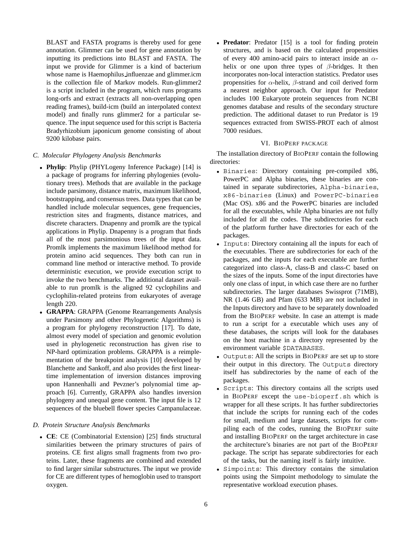BLAST and FASTA programs is thereby used for gene annotation. Glimmer can be used for gene annotation by inputting its predictions into BLAST and FASTA. The input we provide for Glimmer is a kind of bacterium whose name is Haemophilus influenzae and glimmer.icm is the collection file of Markov models. Run-glimmer2 is a script included in the program, which runs programs long-orfs and extract (extracts all non-overlapping open reading frames), build-icm (build an interpolated context model) and finally runs glimmer2 for a particular sequence. The input sequence used for this script is Bacteria Bradyrhizobium japonicum genome consisting of about 9200 kilobase pairs.

# *C. Molecular Phylogeny Analysis Benchmarks*

- *•* **Phylip**: Phylip (PHYLogeny Inference Package) [14] is a package of programs for inferring phylogenies (evolutionary trees). Methods that are available in the package include parsimony, distance matrix, maximum likelihood, bootstrapping, and consensus trees. Data types that can be handled include molecular sequences, gene frequencies, restriction sites and fragments, distance matrices, and discrete characters. Dnapenny and promlk are the typical applications in Phylip. Dnapenny is a program that finds all of the most parsimonious trees of the input data. Promlk implements the maximum likelihood method for protein amino acid sequences. They both can run in command line method or interactive method. To provide deterministic execution, we provide execution script to invoke the two benchmarks. The additional dataset available to run promlk is the aligned 92 cyclophilins and cyclophilin-related proteins from eukaryotes of average length 220.
- *•* **GRAPPA**: GRAPPA (Genome Rearrangements Analysis under Parsimony and other Phylogenetic Algorithms) is a program for phylogeny reconstruction [17]. To date, almost every model of speciation and genomic evolution used in phylogenetic reconstruction has given rise to NP-hard optimization problems. GRAPPA is a reimplementation of the breakpoint analysis [10] developed by Blanchette and Sankoff, and also provides the first lineartime implementation of inversion distances improving upon Hannenhalli and Pevzner's polynomial time approach [6]. Currently, GRAPPA also handles inversion phylogeny and unequal gene content. The input file is 12 sequences of the bluebell flower species Campanulaceae.

# *D. Protein Structure Analysis Benchmarks*

*•* **CE**: CE (Combinatorial Extension) [25] finds structural similarities between the primary structures of pairs of proteins. CE first aligns small fragments from two proteins. Later, these fragments are combined and extended to find larger similar substructures. The input we provide for CE are different types of hemoglobin used to transport oxygen.

• **Predator**: Predator [15] is a tool for finding protein structures, and is based on the calculated propensities of every 400 amino-acid pairs to interact inside an  $\alpha$ helix or one upon three types of  $\beta$ -bridges. It then incorporates non-local interaction statistics. Predator uses propensities for  $\alpha$ -helix,  $\beta$ -strand and coil derived form a nearest neighbor approach. Our input for Predator includes 100 Eukaryote protein sequences from NCBI genomes database and results of the secondary structure prediction. The additional dataset to run Predator is 19 sequences extracted from SWISS-PROT each of almost 7000 residues.

# VI. BIOPERF PACKAGE

The installation directory of BIOPERF contain the following directories:

- *•* Binaries: Directory containing pre-compiled x86, PowerPC and Alpha binaries, these binaries are contained in separate subdirectories, Alpha-binaries, x86-binaries (Linux) and PowerPC-binaries (Mac OS). x86 and the PowerPC binaries are included for all the executables, while Alpha binaries are not fully included for all the codes. The subdirectories for each of the platform further have directories for each of the packages.
- *•* Inputs: Directory containing all the inputs for each of the executables. There are subdirectories for each of the packages, and the inputs for each executable are further categorized into class-A, class-B and class-C based on the sizes of the inputs. Some of the input directories have only one class of input, in which case there are no further subdirectories. The larger databases Swissprot (71MB), NR (1.46 GB) and Pfam (633 MB) are not included in the Inputs directory and have to be separately downloaded from the BIOPERF website. In case an attempt is made to run a script for a executable which uses any of these databases, the scripts will look for the databases on the host machine in a directory represented by the environment variable \$DATABASES.
- *•* Outputs: All the scripts in BIOPERF are set up to store their output in this directory. The Outputs directory itself has subdirectories by the name of each of the packages.
- *•* Scripts: This directory contains all the scripts used in BIOPERF except the use-bioperf.sh which is wrapper for all these scripts. It has further subdirectories that include the scripts for running each of the codes for small, medium and large datasets, scripts for compiling each of the codes, running the BIOPERF suite and installing BIOPERF on the target architecture in case the architecture's binaries are not part of the BIOPERF package. The script has separate subdirectories for each of the tasks, but the naming itself is fairly intuitive.
- *•* Simpoints: This directory contains the simulation points using the Simpoint methodology to simulate the representative workload execution phases.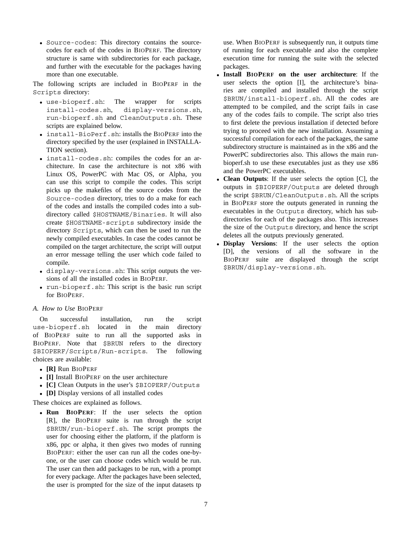*•* Source-codes: This directory contains the sourcecodes for each of the codes in BIOPERF. The directory structure is same with subdirectories for each package, and further with the executable for the packages having more than one executable.

The following scripts are included in BIOPERF in the Scripts directory:

- use-bioperf.sh: The wrapper for scripts install-codes.sh, display-versions.sh, display-versions.sh, run-bioperf.sh and CleanOutputs.sh. These scripts are explained below.
- *•* install-BioPerf.sh: installs the BIOPERF into the directory specified by the user (explained in INSTALLA-TION section).
- *•* install-codes.sh: compiles the codes for an architecture. In case the architecture is not x86 with Linux OS, PowerPC with Mac OS, or Alpha, you can use this script to compile the codes. This script picks up the makefiles of the source codes from the Source-codes directory, tries to do a make for each of the codes and installs the compiled codes into a subdirectory called \$HOSTNAME/Binaries. It will also create \$HOSTNAME-scripts subdirectory inside the directory Scripts, which can then be used to run the newly compiled executables. In case the codes cannot be compiled on the target architecture, the script will output an error message telling the user which code failed to compile.
- *•* display-versions.sh: This script outputs the versions of all the installed codes in BIOPERF.
- *•* run-bioperf.sh: This script is the basic run script for BIOPERF.

# *A. How to Use* BIOPERF

On successful installation, run the script use-bioperf.sh located in the main directory of BIOPERF suite to run all the supported asks in BIOPERF. Note that \$BRUN refers to the directory \$BIOPERF/Scripts/Run-scripts. The following choices are available:

- *•* **[R]** Run BIOPERF
- *•* **[I]** Install BIOPERF on the user architecture
- *•* **[C]** Clean Outputs in the user's \$BIOPERF/Outputs
- *•* **[D]** Display versions of all installed codes

These choices are explained as follows.

*•* **Run BIOPERF**: If the user selects the option [R], the BIOPERF suite is run through the script \$BRUN/run-bioperf.sh. The script prompts the user for choosing either the platform, if the platform is x86, ppc or alpha, it then gives two modes of running BIOPERF: either the user can run all the codes one-byone, or the user can choose codes which would be run. The user can then add packages to be run, with a prompt for every package. After the packages have been selected, the user is prompted for the size of the input datasets tp

use. When BIOPERF is subsequently run, it outputs time of running for each executable and also the complete execution time for running the suite with the selected packages.

- *•* **Install BIOPERF on the user architecture**: If the user selects the option [I], the architecture's binaries are compiled and installed through the script \$BRUN/install-bioperf.sh. All the codes are attempted to be compiled, and the script fails in case any of the codes fails to compile. The script also tries to first delete the previous installation if detected before trying to proceed with the new installation. Assuming a successful compilation for each of the packages, the same subdirectory structure is maintained as in the x86 and the PowerPC subdirectories also. This allows the main runbioperf.sh to use these executables just as they use x86 and the PowerPC executables.
- *•* **Clean Outputs**: If the user selects the option [C], the outputs in \$BIOPERF/Outputs are deleted through the script \$BRUN/CleanOutputs.sh. All the scripts in BIOPERF store the outputs generated in running the executables in the Outputs directory, which has subdirectories for each of the packages also. This increases the size of the Outputs directory, and hence the script deletes all the outputs previously generated.
- *•* **Display Versions**: If the user selects the option [D], the versions of all the software in the BIOPERF suite are displayed through the script \$BRUN/display-versions.sh.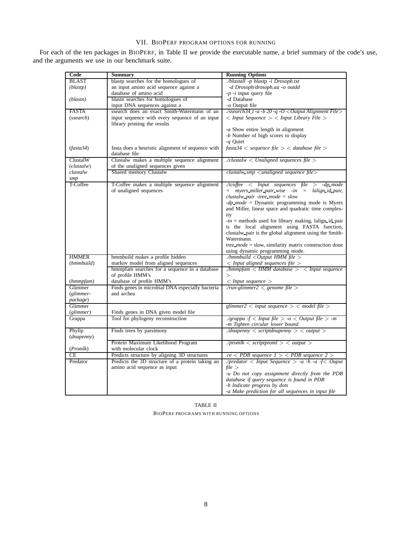# VII. BIOPERF PROGRAM OPTIONS FOR RUNNING

| For each of the ten packages in BIOPERF, in Table II we provide the executable name, a brief summary of the code's use, |  |  |  |
|-------------------------------------------------------------------------------------------------------------------------|--|--|--|
| and the arguments we use in our benchmark suite.                                                                        |  |  |  |

| Code              | <b>Summary</b>                                    | <b>Running Options</b>                                                                                  |
|-------------------|---------------------------------------------------|---------------------------------------------------------------------------------------------------------|
| <b>BLAST</b>      | blastp searches for the homologues of             | ./blastall -p blastp -i Drosoph.txt                                                                     |
| (blastp)          | an input amino acid sequence against a            | -d Drosoph/drosoph.aa -o outdd                                                                          |
|                   | database of amino acid                            | $-p$ - <i>i</i> input query file                                                                        |
| (blastn)          | blastn searches for homologues of                 | -d Database                                                                                             |
|                   | input DNA sequences against a                     | -o Output file                                                                                          |
| <b>FASTA</b>      | ssearch does an exact Smith-Watermann of an       | $\sqrt{s}search34$ t -a -b 20 -q -O < Output Alignment File>                                            |
| (ssearch)         | input sequence with every sequence of an input    | $\langle$ Input Sequence $\rangle$ $\langle$ Input Library File $\rangle$                               |
|                   | library printing the results                      |                                                                                                         |
|                   |                                                   | -a Show entire length in alignment                                                                      |
|                   |                                                   | -b Number of high scores to display                                                                     |
|                   |                                                   | - <i>a</i> Ouiet                                                                                        |
| (fasta34)         | fasta does a heuristic alignment of sequence with | $\text{fasta34}$ < sequence file > < database file >                                                    |
|                   | database file                                     |                                                                                                         |
| ClustalW          | Clustalw makes a multiple sequence alignment      | $1$ /clustalw < Unaligned sequences file >                                                              |
| (clustalw)        | of the unaligned sequences given                  |                                                                                                         |
| clustalw          | Shared memory Clustalw                            | clustalw smp $\leq$ unaligned sequence file $>$                                                         |
| smp               |                                                   |                                                                                                         |
| T-Coffee          | T-Coffee makes a multiple sequence alignment      | $\Delta t$ coffee $\langle$ Input sequences file $>$ -dp mode                                           |
|                   | of unaligned sequences                            | $=$ myers miller pair wise $-$ in<br>lalign id pair,<br>$=$                                             |
|                   |                                                   | clustalw pair -tree mode = $slow$                                                                       |
|                   |                                                   | $-dp$ mode = Dynamic programming mode is Myers                                                          |
|                   |                                                   | and Miller, linear space and quadratic time complex-                                                    |
|                   |                                                   | ity                                                                                                     |
|                   |                                                   | $-in =$ methods used for library making, lalign id pair<br>is the local alignment using FASTA function, |
|                   |                                                   | clustalw pair is the global alignment using the Smith-                                                  |
|                   |                                                   | Watermann.                                                                                              |
|                   |                                                   | tree_mode = slow, similarity matrix construction done                                                   |
|                   |                                                   | using dynamic programming mode.                                                                         |
| <b>HMMER</b>      | hmmbuild makes a profile hidden                   | $\lambda$ hmmbuild < Output HMM file >                                                                  |
| (hmmbuild)        | markov model from aligned sequences               | $<$ Input aligned sequences file $>$                                                                    |
|                   | hmmpfam searches for a sequence in a database     | $\frac{1}{2}$ /hmmpfam < HMM database > < Input sequence                                                |
|                   | of profile HMM's                                  | $\rm{>}$                                                                                                |
| (hmmpfam)         | database of profile HMM's                         | $<$ Input sequence $>$                                                                                  |
| Glimmer           | Finds genes in microbial DNA especially bacteria  | ./run-glimmer2 $\lt$ genome file $\gt$                                                                  |
| (glimmer-         | and archea                                        |                                                                                                         |
| package)          |                                                   |                                                                                                         |
| Glimmer           |                                                   | glimmer2 $\langle$ input sequence $\rangle$ $\langle$ model file $\rangle$                              |
| (glimmer)         | Finds genes in DNA given model file               |                                                                                                         |
| Grappa            | Tool for phylogeny reconstruction                 | $\lambda$ grappa -f < Input file > -o < Output file > -m                                                |
|                   |                                                   | -m Tighten circular lower bound                                                                         |
| Phylip            | Finds trees by parsimony                          | $\Delta$ dnapenny $\langle$ scriptdnapenny $\rangle$ $\langle$ output $\rangle$                         |
| (dnapenny)        |                                                   |                                                                                                         |
|                   | Protein Maximum Likelihood Program                | ./promlk $\langle$ scriptproml $\rangle$ $\langle$ output $\rangle$                                     |
| ( <i>Promlk</i> ) | with molecular clock                              |                                                                                                         |
| СE                | Predicts structure by aligning 3D structures      | $ce < PDB$ sequence $1 > PDB$ sequence $2 >$                                                            |
| Predator          | Predicts the 3D structure of a protein taking an  | ./predator $\langle$ Input Sequence $\rangle$ -u -h -a -f $\langle$ Ouput                               |
|                   | amino acid sequence as input                      | file                                                                                                    |
|                   |                                                   | -u Do not copy assignment directly from the PDB                                                         |
|                   |                                                   | database if query sequence is found in PDB                                                              |
|                   |                                                   | -h Indicate progress by dots                                                                            |
|                   |                                                   | -a Make prediction for all sequences in input file                                                      |

TABLE II BIOPERF PROGRAMS WITH RUNNING OPTIONS